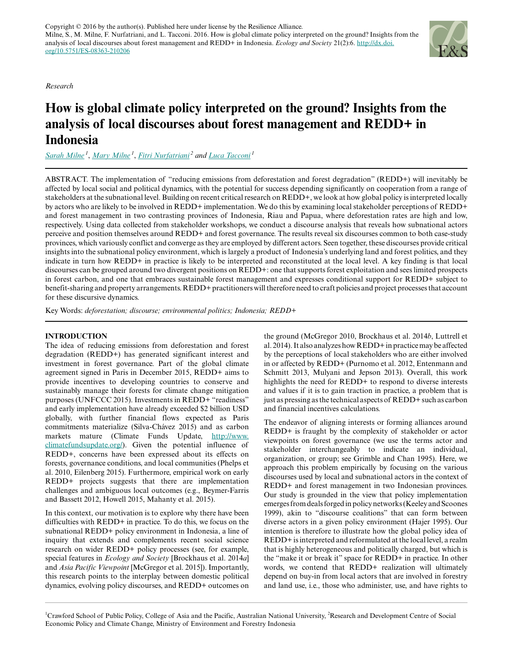*Research*

# **How is global climate policy interpreted on the ground? Insights from the analysis of local discourses about forest management and REDD+ in Indonesia**

*[Sarah Milne](mailto:sarah.milne@anu.edu.au)<sup>1</sup>* , *[Mary Milne](mailto:milne_mary@hotmail.com)<sup>1</sup>* , *[Fitri Nurfatriani](mailto:nurfatriani@yahoo.com)<sup>2</sup> and [Luca Tacconi](mailto:luca.tacconi@anu.edu.au)<sup>1</sup>*

ABSTRACT. The implementation of "reducing emissions from deforestation and forest degradation" (REDD+) will inevitably be affected by local social and political dynamics, with the potential for success depending significantly on cooperation from a range of stakeholders at the subnational level. Building on recent critical research on REDD+, we look at how global policy is interpreted locally by actors who are likely to be involved in REDD+ implementation. We do this by examining local stakeholder perceptions of REDD+ and forest management in two contrasting provinces of Indonesia, Riau and Papua, where deforestation rates are high and low, respectively. Using data collected from stakeholder workshops, we conduct a discourse analysis that reveals how subnational actors perceive and position themselves around REDD+ and forest governance. The results reveal six discourses common to both case-study provinces, which variously conflict and converge as they are employed by different actors. Seen together, these discourses provide critical insights into the subnational policy environment, which is largely a product of Indonesia's underlying land and forest politics, and they indicate in turn how REDD+ in practice is likely to be interpreted and reconstituted at the local level. A key finding is that local discourses can be grouped around two divergent positions on REDD+: one that supports forest exploitation and sees limited prospects in forest carbon, and one that embraces sustainable forest management and expresses conditional support for REDD+ subject to benefit-sharing and property arrangements. REDD+ practitioners will therefore need to craft policies and project processes that account for these discursive dynamics.

Key Words: *deforestation; discourse; environmental politics; Indonesia; REDD+*

# **INTRODUCTION**

The idea of reducing emissions from deforestation and forest degradation (REDD+) has generated significant interest and investment in forest governance. Part of the global climate agreement signed in Paris in December 2015, REDD+ aims to provide incentives to developing countries to conserve and sustainably manage their forests for climate change mitigation purposes (UNFCCC 2015). Investments in REDD+ "readiness" and early implementation have already exceeded \$2 billion USD globally, with further financial flows expected as Paris commitments materialize (Silva-Chávez 2015) and as carbon markets mature (Climate Funds Update, [http://www.](http://www.climatefundsupdate.org/) [climatefundsupdate.org/\)](http://www.climatefundsupdate.org/). Given the potential influence of REDD+, concerns have been expressed about its effects on forests, governance conditions, and local communities (Phelps et al. 2010, Eilenberg 2015). Furthermore, empirical work on early REDD+ projects suggests that there are implementation challenges and ambiguous local outcomes (e.g., Beymer-Farris and Bassett 2012, Howell 2015, Mahanty et al. 2015).

In this context, our motivation is to explore why there have been difficulties with REDD+ in practice. To do this, we focus on the subnational REDD+ policy environment in Indonesia, a line of inquiry that extends and complements recent social science research on wider REDD+ policy processes (see, for example, special features in *Ecology and Society* [Brockhaus et al. 2014*a*] and *Asia Pacific Viewpoint* [McGregor et al. 2015]). Importantly, this research points to the interplay between domestic political dynamics, evolving policy discourses, and REDD+ outcomes on

the ground (McGregor 2010, Brockhaus et al. 2014*b*, Luttrell et al. 2014). It also analyzes how REDD+ in practice may be affected by the perceptions of local stakeholders who are either involved in or affected by REDD+ (Purnomo et al. 2012, Entenmann and Schmitt 2013, Mulyani and Jepson 2013). Overall, this work highlights the need for REDD+ to respond to diverse interests and values if it is to gain traction in practice, a problem that is just as pressing as the technical aspects of REDD+ such as carbon and financial incentives calculations.

The endeavor of aligning interests or forming alliances around REDD+ is fraught by the complexity of stakeholder or actor viewpoints on forest governance (we use the terms actor and stakeholder interchangeably to indicate an individual, organization, or group; see Grimble and Chan 1995). Here, we approach this problem empirically by focusing on the various discourses used by local and subnational actors in the context of REDD+ and forest management in two Indonesian provinces. Our study is grounded in the view that policy implementation emerges from deals forged in policy networks (Keeley and Scoones 1999), akin to "discourse coalitions" that can form between diverse actors in a given policy environment (Hajer 1995). Our intention is therefore to illustrate how the global policy idea of REDD+ is interpreted and reformulated at the local level, a realm that is highly heterogeneous and politically charged, but which is the "make it or break it" space for REDD+ in practice. In other words, we contend that REDD+ realization will ultimately depend on buy-in from local actors that are involved in forestry and land use, i.e., those who administer, use, and have rights to

<sup>1</sup>Crawford School of Public Policy, College of Asia and the Pacific, Australian National University, <sup>2</sup>Research and Development Centre of Social Economic Policy and Climate Change, Ministry of Environment and Forestry Indonesia

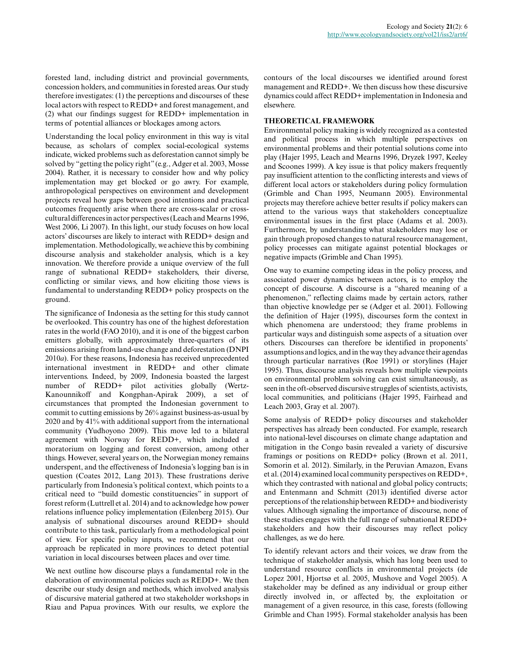forested land, including district and provincial governments, concession holders, and communities in forested areas. Our study therefore investigates: (1) the perceptions and discourses of these local actors with respect to REDD+ and forest management, and (2) what our findings suggest for REDD+ implementation in terms of potential alliances or blockages among actors.

Understanding the local policy environment in this way is vital because, as scholars of complex social-ecological systems indicate, wicked problems such as deforestation cannot simply be solved by "getting the policy right" (e.g., Adger et al. 2003, Mosse 2004). Rather, it is necessary to consider how and why policy implementation may get blocked or go awry. For example, anthropological perspectives on environment and development projects reveal how gaps between good intentions and practical outcomes frequently arise when there are cross-scalar or crosscultural differences in actor perspectives (Leach and Mearns 1996, West 2006, Li 2007). In this light, our study focuses on how local actors' discourses are likely to interact with REDD+ design and implementation. Methodologically, we achieve this by combining discourse analysis and stakeholder analysis, which is a key innovation. We therefore provide a unique overview of the full range of subnational REDD+ stakeholders, their diverse, conflicting or similar views, and how eliciting those views is fundamental to understanding REDD+ policy prospects on the ground.

The significance of Indonesia as the setting for this study cannot be overlooked. This country has one of the highest deforestation rates in the world (FAO 2010), and it is one of the biggest carbon emitters globally, with approximately three-quarters of its emissions arising from land-use change and deforestation (DNPI 2010*a*). For these reasons, Indonesia has received unprecedented international investment in REDD+ and other climate interventions. Indeed, by 2009, Indonesia boasted the largest number of REDD+ pilot activities globally (Wertz-Kanounnikoff and Kongphan-Apirak 2009), a set of circumstances that prompted the Indonesian government to commit to cutting emissions by 26% against business-as-usual by 2020 and by 41% with additional support from the international community (Yudhoyono 2009). This move led to a bilateral agreement with Norway for REDD+, which included a moratorium on logging and forest conversion, among other things. However, several years on, the Norwegian money remains underspent, and the effectiveness of Indonesia's logging ban is in question (Coates 2012, Lang 2013). These frustrations derive particularly from Indonesia's political context, which points to a critical need to "build domestic constituencies" in support of forest reform (Luttrell et al. 2014) and to acknowledge how power relations influence policy implementation (Eilenberg 2015). Our analysis of subnational discourses around REDD+ should contribute to this task, particularly from a methodological point of view. For specific policy inputs, we recommend that our approach be replicated in more provinces to detect potential variation in local discourses between places and over time.

We next outline how discourse plays a fundamental role in the elaboration of environmental policies such as REDD+. We then describe our study design and methods, which involved analysis of discursive material gathered at two stakeholder workshops in Riau and Papua provinces. With our results, we explore the

contours of the local discourses we identified around forest management and REDD+. We then discuss how these discursive dynamics could affect REDD+ implementation in Indonesia and elsewhere.

### **THEORETICAL FRAMEWORK**

Environmental policy making is widely recognized as a contested and political process in which multiple perspectives on environmental problems and their potential solutions come into play (Hajer 1995, Leach and Mearns 1996, Dryzek 1997, Keeley and Scoones 1999). A key issue is that policy makers frequently pay insufficient attention to the conflicting interests and views of different local actors or stakeholders during policy formulation (Grimble and Chan 1995, Neumann 2005). Environmental projects may therefore achieve better results if policy makers can attend to the various ways that stakeholders conceptualize environmental issues in the first place (Adams et al. 2003). Furthermore, by understanding what stakeholders may lose or gain through proposed changes to natural resource management, policy processes can mitigate against potential blockages or negative impacts (Grimble and Chan 1995).

One way to examine competing ideas in the policy process, and associated power dynamics between actors, is to employ the concept of discourse. A discourse is a "shared meaning of a phenomenon," reflecting claims made by certain actors, rather than objective knowledge per se (Adger et al. 2001). Following the definition of Hajer (1995), discourses form the context in which phenomena are understood; they frame problems in particular ways and distinguish some aspects of a situation over others. Discourses can therefore be identified in proponents' assumptions and logics, and in the way they advance their agendas through particular narratives (Roe 1991) or storylines (Hajer 1995). Thus, discourse analysis reveals how multiple viewpoints on environmental problem solving can exist simultaneously, as seen in the oft-observed discursive struggles of scientists, activists, local communities, and politicians (Hajer 1995, Fairhead and Leach 2003, Gray et al. 2007).

Some analysis of REDD+ policy discourses and stakeholder perspectives has already been conducted. For example, research into national-level discourses on climate change adaptation and mitigation in the Congo basin revealed a variety of discursive framings or positions on REDD+ policy (Brown et al. 2011, Somorin et al. 2012). Similarly, in the Peruvian Amazon, Evans et al. (2014) examined local community perspectives on REDD+, which they contrasted with national and global policy contructs; and Entenmann and Schmitt (2013) identified diverse actor perceptions of the relationship between REDD+ and biodiveristy values. Although signaling the importance of discourse, none of these studies engages with the full range of subnational REDD+ stakeholders and how their discourses may reflect policy challenges, as we do here.

To identify relevant actors and their voices, we draw from the technique of stakeholder analysis, which has long been used to understand resource conflicts in environmental projects (de Lopez 2001, Hjortsø et al. 2005, Mushove and Vogel 2005). A stakeholder may be defined as any individual or group either directly involved in, or affected by, the exploitation or management of a given resource, in this case, forests (following Grimble and Chan 1995). Formal stakeholder analysis has been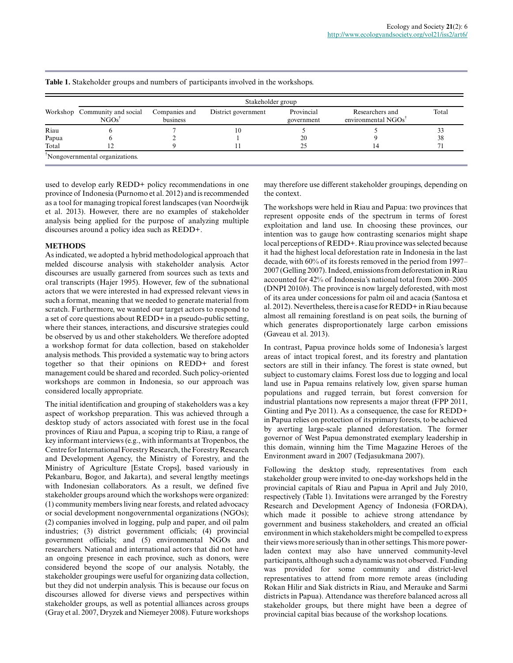|       | Stakeholder group                                  |                           |                     |                          |                                                    |       |  |
|-------|----------------------------------------------------|---------------------------|---------------------|--------------------------|----------------------------------------------------|-------|--|
|       | Workshop Community and social<br>NGOs <sup>T</sup> | Companies and<br>business | District government | Provincial<br>government | Researchers and<br>environmental NGOs <sup>T</sup> | Total |  |
| Riau  |                                                    |                           | 10                  |                          |                                                    | 33    |  |
| Papua |                                                    |                           |                     | 20                       |                                                    | 38    |  |
| Total |                                                    |                           |                     | 25                       |                                                    |       |  |

**Table 1.** Stakeholder groups and numbers of participants involved in the workshops.

used to develop early REDD+ policy recommendations in one province of Indonesia (Purnomo et al. 2012) and is recommended as a tool for managing tropical forest landscapes (van Noordwijk et al. 2013). However, there are no examples of stakeholder analysis being applied for the purpose of analyzing multiple discourses around a policy idea such as REDD+.

# **METHODS**

As indicated, we adopted a hybrid methodological approach that melded discourse analysis with stakeholder analysis. Actor discourses are usually garnered from sources such as texts and oral transcripts (Hajer 1995). However, few of the subnational actors that we were interested in had expressed relevant views in such a format, meaning that we needed to generate material from scratch. Furthermore, we wanted our target actors to respond to a set of core questions about REDD+ in a pseudo-public setting, where their stances, interactions, and discursive strategies could be observed by us and other stakeholders. We therefore adopted a workshop format for data collection, based on stakeholder analysis methods. This provided a systematic way to bring actors together so that their opinions on REDD+ and forest management could be shared and recorded. Such policy-oriented workshops are common in Indonesia, so our approach was considered locally appropriate.

The initial identification and grouping of stakeholders was a key aspect of workshop preparation. This was achieved through a desktop study of actors associated with forest use in the focal provinces of Riau and Papua, a scoping trip to Riau, a range of key informant interviews (e.g., with informants at Tropenbos, the Centre for International Forestry Research, the Forestry Research and Development Agency, the Ministry of Forestry, and the Ministry of Agriculture [Estate Crops], based variously in Pekanbaru, Bogor, and Jakarta), and several lengthy meetings with Indonesian collaborators. As a result, we defined five stakeholder groups around which the workshops were organized: (1) community members living near forests, and related advocacy or social development nongovernmental organizations (NGOs); (2) companies involved in logging, pulp and paper, and oil palm industries; (3) district government officials; (4) provincial government officials; and (5) environmental NGOs and researchers. National and international actors that did not have an ongoing presence in each province, such as donors, were considered beyond the scope of our analysis. Notably, the stakeholder groupings were useful for organizing data collection, but they did not underpin analysis. This is because our focus on discourses allowed for diverse views and perspectives within stakeholder groups, as well as potential alliances across groups (Gray et al. 2007, Dryzek and Niemeyer 2008). Future workshops

may therefore use different stakeholder groupings, depending on the context.

The workshops were held in Riau and Papua: two provinces that represent opposite ends of the spectrum in terms of forest exploitation and land use. In choosing these provinces, our intention was to gauge how contrasting scenarios might shape local perceptions of REDD+. Riau province was selected because it had the highest local deforestation rate in Indonesia in the last decade, with 60% of its forests removed in the period from 1997– 2007 (Gelling 2007). Indeed, emissions from deforestation in Riau accounted for 42% of Indonesia's national total from 2000–2005 (DNPI 2010*b*). The province is now largely deforested, with most of its area under concessions for palm oil and acacia (Santosa et al. 2012). Nevertheless, there is a case for REDD+ in Riau because almost all remaining forestland is on peat soils, the burning of which generates disproportionately large carbon emissions (Gaveau et al. 2013).

In contrast, Papua province holds some of Indonesia's largest areas of intact tropical forest, and its forestry and plantation sectors are still in their infancy. The forest is state owned, but subject to customary claims. Forest loss due to logging and local land use in Papua remains relatively low, given sparse human populations and rugged terrain, but forest conversion for industrial plantations now represents a major threat (FPP 2011, Ginting and Pye 2011). As a consequence, the case for REDD+ in Papua relies on protection of its primary forests, to be achieved by averting large-scale planned deforestation. The former governor of West Papua demonstrated exemplary leadership in this domain, winning him the Time Magazine Heroes of the Environment award in 2007 (Tedjasukmana 2007).

Following the desktop study, representatives from each stakeholder group were invited to one-day workshops held in the provincial capitals of Riau and Papua in April and July 2010, respectively (Table 1). Invitations were arranged by the Forestry Research and Development Agency of Indonesia (FORDA), which made it possible to achieve strong attendance by government and business stakeholders, and created an official environment in which stakeholders might be compelled to express their views more seriously than in other settings. This more powerladen context may also have unnerved community-level participants, although such a dynamic was not observed. Funding was provided for some community and district-level representatives to attend from more remote areas (including Rokan Hilir and Siak districts in Riau, and Merauke and Sarmi districts in Papua). Attendance was therefore balanced across all stakeholder groups, but there might have been a degree of provincial capital bias because of the workshop locations.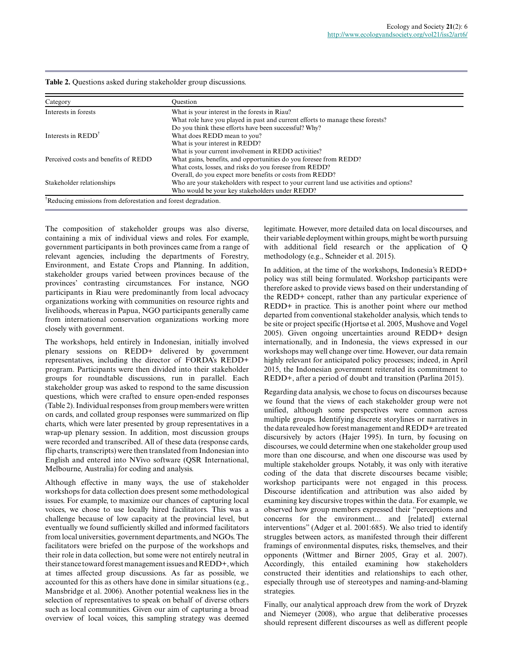| Category                             | Ouestion                                                                                |  |  |
|--------------------------------------|-----------------------------------------------------------------------------------------|--|--|
| Interests in forests                 | What is your interest in the forests in Riau?                                           |  |  |
|                                      | What role have you played in past and current efforts to manage these forests?          |  |  |
|                                      | Do you think these efforts have been successful? Why?                                   |  |  |
| Interests in $REDD^{\dagger}$        | What does REDD mean to you?                                                             |  |  |
|                                      | What is your interest in REDD?                                                          |  |  |
|                                      | What is your current involvement in REDD activities?                                    |  |  |
| Perceived costs and benefits of REDD | What gains, benefits, and opportunities do you foresee from REDD?                       |  |  |
|                                      | What costs, losses, and risks do you foresee from REDD?                                 |  |  |
|                                      | Overall, do you expect more benefits or costs from REDD?                                |  |  |
| Stakeholder relationships            | Who are your stakeholders with respect to your current land use activities and options? |  |  |
|                                      | Who would be your key stakeholders under REDD?                                          |  |  |

|  | Table 2. Questions asked during stakeholder group discussions. |  |
|--|----------------------------------------------------------------|--|
|--|----------------------------------------------------------------|--|

The composition of stakeholder groups was also diverse, containing a mix of individual views and roles. For example, government participants in both provinces came from a range of relevant agencies, including the departments of Forestry, Environment, and Estate Crops and Planning. In addition, stakeholder groups varied between provinces because of the provinces' contrasting circumstances. For instance, NGO participants in Riau were predominantly from local advocacy organizations working with communities on resource rights and livelihoods, whereas in Papua, NGO participants generally came from international conservation organizations working more closely with government.

The workshops, held entirely in Indonesian, initially involved plenary sessions on REDD+ delivered by government representatives, including the director of FORDA's REDD+ program. Participants were then divided into their stakeholder groups for roundtable discussions, run in parallel. Each stakeholder group was asked to respond to the same discussion questions, which were crafted to ensure open-ended responses (Table 2). Individual responses from group members were written on cards, and collated group responses were summarized on flip charts, which were later presented by group representatives in a wrap-up plenary session. In addition, most discussion groups were recorded and transcribed. All of these data (response cards, flip charts, transcripts) were then translated from Indonesian into English and entered into NVivo software (QSR International, Melbourne, Australia) for coding and analysis.

Although effective in many ways, the use of stakeholder workshops for data collection does present some methodological issues. For example, to maximize our chances of capturing local voices, we chose to use locally hired facilitators. This was a challenge because of low capacity at the provincial level, but eventually we found sufficiently skilled and informed facilitators from local universities, government departments, and NGOs. The facilitators were briefed on the purpose of the workshops and their role in data collection, but some were not entirely neutral in their stance toward forest management issues and REDD+, which at times affected group discussions. As far as possible, we accounted for this as others have done in similar situations (e.g., Mansbridge et al. 2006). Another potential weakness lies in the selection of representatives to speak on behalf of diverse others such as local communities. Given our aim of capturing a broad overview of local voices, this sampling strategy was deemed

legitimate. However, more detailed data on local discourses, and their variable deployment within groups, might be worth pursuing with additional field research or the application of Q methodology (e.g., Schneider et al. 2015).

In addition, at the time of the workshops, Indonesia's REDD+ policy was still being formulated. Workshop participants were therefore asked to provide views based on their understanding of the REDD+ concept, rather than any particular experience of REDD+ in practice. This is another point where our method departed from conventional stakeholder analysis, which tends to be site or project specific (Hjortsø et al. 2005, Mushove and Vogel 2005). Given ongoing uncertainties around REDD+ design internationally, and in Indonesia, the views expressed in our workshops may well change over time. However, our data remain highly relevant for anticipated policy processes; indeed, in April 2015, the Indonesian government reiterated its commitment to REDD+, after a period of doubt and transition (Parlina 2015).

Regarding data analysis, we chose to focus on discourses because we found that the views of each stakeholder group were not unified, although some perspectives were common across multiple groups. Identifying discrete storylines or narratives in the data revealed how forest management and REDD+ are treated discursively by actors (Hajer 1995). In turn, by focusing on discourses, we could determine when one stakeholder group used more than one discourse, and when one discourse was used by multiple stakeholder groups. Notably, it was only with iterative coding of the data that discrete discourses became visible; workshop participants were not engaged in this process. Discourse identification and attribution was also aided by examining key discursive tropes within the data. For example, we observed how group members expressed their "perceptions and concerns for the environment... and [related] external interventions" (Adger et al. 2001:685). We also tried to identify struggles between actors, as manifested through their different framings of environmental disputes, risks, themselves, and their opponents (Wittmer and Birner 2005, Gray et al. 2007). Accordingly, this entailed examining how stakeholders constructed their identities and relationships to each other, especially through use of stereotypes and naming-and-blaming strategies.

Finally, our analytical approach drew from the work of Dryzek and Niemeyer (2008), who argue that deliberative processes should represent different discourses as well as different people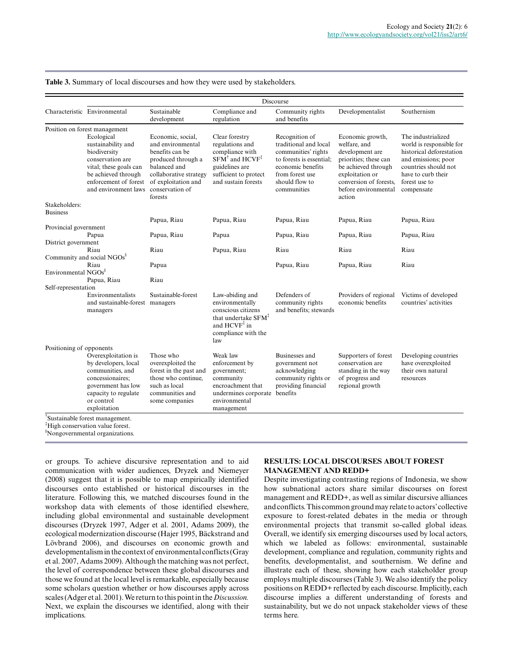| Table 3. Summary of local discourses and how they were used by stakeholders. |  |  |  |
|------------------------------------------------------------------------------|--|--|--|
|------------------------------------------------------------------------------|--|--|--|

|                                  |                                                                                                                                                                                                         |                                                                                                                                                                                |                                                                                                                                                                 | Discourse                                                                                                                                                           |                                                                                                                                                                                    |                                                                                                                                                                                |
|----------------------------------|---------------------------------------------------------------------------------------------------------------------------------------------------------------------------------------------------------|--------------------------------------------------------------------------------------------------------------------------------------------------------------------------------|-----------------------------------------------------------------------------------------------------------------------------------------------------------------|---------------------------------------------------------------------------------------------------------------------------------------------------------------------|------------------------------------------------------------------------------------------------------------------------------------------------------------------------------------|--------------------------------------------------------------------------------------------------------------------------------------------------------------------------------|
|                                  | Characteristic Environmental                                                                                                                                                                            | Sustainable<br>development                                                                                                                                                     | Compliance and<br>regulation                                                                                                                                    | Community rights<br>and benefits                                                                                                                                    | Developmentalist                                                                                                                                                                   | Southernism                                                                                                                                                                    |
|                                  | Position on forest management<br>Ecological<br>sustainability and<br>biodiversity<br>conservation are<br>vital; these goals can<br>be achieved through<br>enforcement of forest<br>and environment laws | Economic, social.<br>and environmental<br>benefits can be<br>produced through a<br>balanced and<br>collaborative strategy<br>of exploitation and<br>conservation of<br>forests | Clear forestry<br>regulations and<br>compliance with<br>$SFM^{\dagger}$ and $HCVF^{\ddagger}$<br>guidelines are<br>sufficient to protect<br>and sustain forests | Recognition of<br>traditional and local<br>communities' rights<br>to forests is essential;<br>economic benefits<br>from forest use<br>should flow to<br>communities | Economic growth,<br>welfare, and<br>development are<br>priorities; these can<br>be achieved through<br>exploitation or<br>conversion of forests,<br>before environmental<br>action | The industrialized<br>world is responsible for<br>historical deforestation<br>and emissions; poor<br>countries should not<br>have to curb their<br>forest use to<br>compensate |
| Stakeholders:<br><b>Business</b> |                                                                                                                                                                                                         |                                                                                                                                                                                |                                                                                                                                                                 |                                                                                                                                                                     |                                                                                                                                                                                    |                                                                                                                                                                                |
| Provincial government            | Papua                                                                                                                                                                                                   | Papua, Riau<br>Papua, Riau                                                                                                                                                     | Papua, Riau<br>Papua                                                                                                                                            | Papua, Riau<br>Papua, Riau                                                                                                                                          | Papua, Riau<br>Papua, Riau                                                                                                                                                         | Papua, Riau<br>Papua, Riau                                                                                                                                                     |
| District government              | Riau                                                                                                                                                                                                    | Riau                                                                                                                                                                           | Papua, Riau                                                                                                                                                     | Riau                                                                                                                                                                | Riau                                                                                                                                                                               | Riau                                                                                                                                                                           |
| Environmental NGOs <sup>§</sup>  | Community and social NGOs <sup>§</sup><br>Riau                                                                                                                                                          | Papua                                                                                                                                                                          |                                                                                                                                                                 | Papua, Riau                                                                                                                                                         | Papua, Riau                                                                                                                                                                        | Riau                                                                                                                                                                           |
| Self-representation              | Papua, Riau                                                                                                                                                                                             | Riau                                                                                                                                                                           |                                                                                                                                                                 |                                                                                                                                                                     |                                                                                                                                                                                    |                                                                                                                                                                                |
|                                  | Environmentalists<br>and sustainable-forest<br>managers                                                                                                                                                 | Sustainable-forest<br>managers                                                                                                                                                 | Law-abiding and<br>environmentally<br>conscious citizens<br>that undertake SFM <sup>‡</sup><br>and HCVF <sup>‡</sup> in<br>compliance with the<br>law           | Defenders of<br>community rights<br>and benefits; stewards                                                                                                          | Providers of regional<br>economic benefits                                                                                                                                         | Victims of developed<br>countries' activities                                                                                                                                  |
| Positioning of opponents         |                                                                                                                                                                                                         |                                                                                                                                                                                |                                                                                                                                                                 |                                                                                                                                                                     |                                                                                                                                                                                    |                                                                                                                                                                                |
|                                  | Overexploitation is<br>by developers, local<br>communities, and<br>concessionaires:<br>government has low<br>capacity to regulate<br>or control<br>exploitation                                         | Those who<br>overexploited the<br>forest in the past and<br>those who continue.<br>such as local<br>communities and<br>some companies                                          | Weak law<br>enforcement by<br>government;<br>community<br>encroachment that<br>undermines corporate benefits<br>environmental<br>management                     | Businesses and<br>government not<br>acknowledging<br>community rights or<br>providing financial                                                                     | Supporters of forest<br>conservation are<br>standing in the way<br>of progress and<br>regional growth                                                                              | Developing countries<br>have overexploited<br>their own natural<br>resources                                                                                                   |

§Nongovernmental organizations.

or groups. To achieve discursive representation and to aid communication with wider audiences, Dryzek and Niemeyer (2008) suggest that it is possible to map empirically identified discourses onto established or historical discourses in the literature. Following this, we matched discourses found in the workshop data with elements of those identified elsewhere, including global environmental and sustainable development discourses (Dryzek 1997, Adger et al. 2001, Adams 2009), the ecological modernization discourse (Hajer 1995, Bäckstrand and Lövbrand 2006), and discourses on economic growth and developmentalism in the context of environmental conflicts (Gray et al. 2007, Adams 2009). Although the matching was not perfect, the level of correspondence between these global discourses and those we found at the local level is remarkable, especially because some scholars question whether or how discourses apply across scales (Adger et al. 2001). We return to this point in the *Discussion.* Next, we explain the discourses we identified, along with their implications.

# **RESULTS: LOCAL DISCOURSES ABOUT FOREST MANAGEMENT AND REDD+**

Despite investigating contrasting regions of Indonesia, we show how subnational actors share similar discourses on forest management and REDD+, as well as similar discursive alliances and conflicts. This common ground may relate to actors' collective exposure to forest-related debates in the media or through environmental projects that transmit so-called global ideas. Overall, we identify six emerging discourses used by local actors, which we labeled as follows: environmental, sustainable development, compliance and regulation, community rights and benefits, developmentalist, and southernism. We define and illustrate each of these, showing how each stakeholder group employs multiple discourses (Table 3). We also identify the policy positions on REDD+ reflected by each discourse. Implicitly, each discourse implies a different understanding of forests and sustainability, but we do not unpack stakeholder views of these terms here.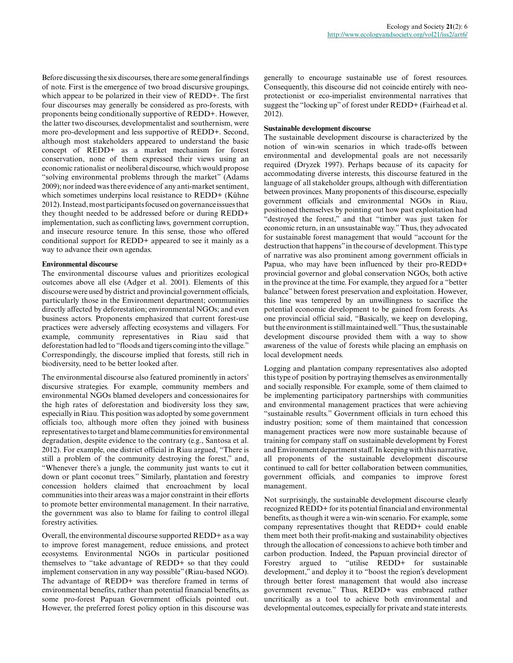Before discussing the six discourses, there are some general findings of note. First is the emergence of two broad discursive groupings, which appear to be polarized in their view of REDD+. The first four discourses may generally be considered as pro-forests, with proponents being conditionally supportive of REDD+. However, the latter two discourses, developmentalist and southernism, were more pro-development and less supportive of REDD+. Second, although most stakeholders appeared to understand the basic concept of REDD+ as a market mechanism for forest conservation, none of them expressed their views using an economic rationalist or neoliberal discourse, which would propose "solving environmental problems through the market" (Adams 2009); nor indeed was there evidence of any anti-market sentiment, which sometimes underpins local resistance to REDD+ (Kühne 2012). Instead, most participants focused on governance issues that they thought needed to be addressed before or during REDD+ implementation, such as conflicting laws, government corruption, and insecure resource tenure. In this sense, those who offered conditional support for REDD+ appeared to see it mainly as a way to advance their own agendas.

#### **Environmental discourse**

The environmental discourse values and prioritizes ecological outcomes above all else (Adger et al. 2001). Elements of this discourse were used by district and provincial government officials, particularly those in the Environment department; communities directly affected by deforestation; environmental NGOs; and even business actors. Proponents emphasized that current forest-use practices were adversely affecting ecosystems and villagers. For example, community representatives in Riau said that deforestation had led to "floods and tigers coming into the village." Correspondingly, the discourse implied that forests, still rich in biodiversity, need to be better looked after.

The environmental discourse also featured prominently in actors' discursive strategies. For example, community members and environmental NGOs blamed developers and concessionaires for the high rates of deforestation and biodiversity loss they saw, especially in Riau. This position was adopted by some government officials too, although more often they joined with business representatives to target and blame communities for environmental degradation, despite evidence to the contrary (e.g., Santosa et al. 2012). For example, one district official in Riau argued, "There is still a problem of the community destroying the forest," and, "Whenever there's a jungle, the community just wants to cut it down or plant coconut trees." Similarly, plantation and forestry concession holders claimed that encroachment by local communities into their areas was a major constraint in their efforts to promote better environmental management. In their narrative, the government was also to blame for failing to control illegal forestry activities.

Overall, the environmental discourse supported REDD+ as a way to improve forest management, reduce emissions, and protect ecosystems. Environmental NGOs in particular positioned themselves to "take advantage of REDD+ so that they could implement conservation in any way possible" (Riau-based NGO). The advantage of REDD+ was therefore framed in terms of environmental benefits, rather than potential financial benefits, as some pro-forest Papuan Government officials pointed out. However, the preferred forest policy option in this discourse was generally to encourage sustainable use of forest resources. Consequently, this discourse did not coincide entirely with neoprotectionist or eco-imperialist environmental narratives that suggest the "locking up" of forest under REDD+ (Fairhead et al. 2012).

#### **Sustainable development discourse**

The sustainable development discourse is characterized by the notion of win-win scenarios in which trade-offs between environmental and developmental goals are not necessarily required (Dryzek 1997). Perhaps because of its capacity for accommodating diverse interests, this discourse featured in the language of all stakeholder groups, although with differentiation between provinces. Many proponents of this discourse, especially government officials and environmental NGOs in Riau, positioned themselves by pointing out how past exploitation had "destroyed the forest," and that "timber was just taken for economic return, in an unsustainable way." Thus, they advocated for sustainable forest management that would "account for the destruction that happens" in the course of development. This type of narrative was also prominent among government officials in Papua, who may have been influenced by their pro-REDD+ provincial governor and global conservation NGOs, both active in the province at the time. For example, they argued for a "better balance" between forest preservation and exploitation. However, this line was tempered by an unwillingness to sacrifice the potential economic development to be gained from forests. As one provincial official said, "Basically, we keep on developing, but the environment is still maintained well." Thus, the sustainable development discourse provided them with a way to show awareness of the value of forests while placing an emphasis on local development needs.

Logging and plantation company representatives also adopted this type of position by portraying themselves as environmentally and socially responsible. For example, some of them claimed to be implementing participatory partnerships with communities and environmental management practices that were achieving "sustainable results." Government officials in turn echoed this industry position; some of them maintained that concession management practices were now more sustainable because of training for company staff on sustainable development by Forest and Environment department staff. In keeping with this narrative, all proponents of the sustainable development discourse continued to call for better collaboration between communities, government officials, and companies to improve forest management.

Not surprisingly, the sustainable development discourse clearly recognized REDD+ for its potential financial and environmental benefits, as though it were a win-win scenario. For example, some company representatives thought that REDD+ could enable them meet both their profit-making and sustainability objectives through the allocation of concessions to achieve both timber and carbon production. Indeed, the Papuan provincial director of Forestry argued to "utilise REDD+ for sustainable development," and deploy it to "boost the region's development through better forest management that would also increase government revenue." Thus, REDD+ was embraced rather uncritically as a tool to achieve both environmental and developmental outcomes, especially for private and state interests.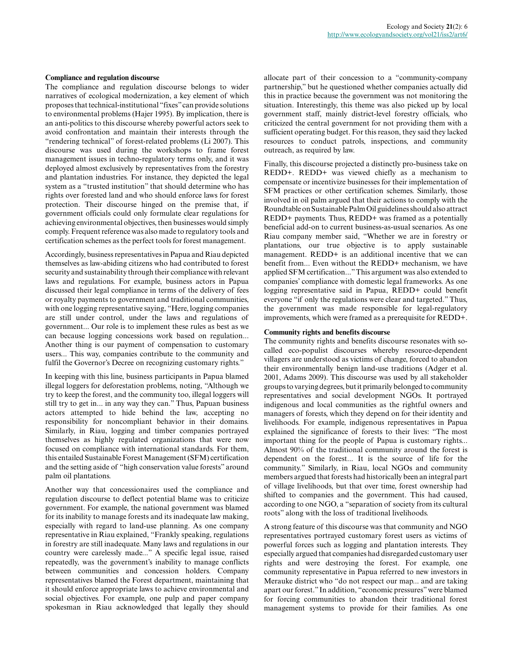#### **Compliance and regulation discourse**

The compliance and regulation discourse belongs to wider narratives of ecological modernization, a key element of which proposes that technical-institutional "fixes" can provide solutions to environmental problems (Hajer 1995). By implication, there is an anti-politics to this discourse whereby powerful actors seek to avoid confrontation and maintain their interests through the "rendering technical" of forest-related problems (Li 2007). This discourse was used during the workshops to frame forest management issues in techno-regulatory terms only, and it was deployed almost exclusively by representatives from the forestry and plantation industries. For instance, they depicted the legal system as a "trusted institution" that should determine who has rights over forested land and who should enforce laws for forest protection. Their discourse hinged on the premise that, if government officials could only formulate clear regulations for achieving environmental objectives, then businesses would simply comply. Frequent reference was also made to regulatory tools and certification schemes as the perfect tools for forest management.

Accordingly, business representatives in Papua and Riau depicted themselves as law-abiding citizens who had contributed to forest security and sustainability through their compliance with relevant laws and regulations. For example, business actors in Papua discussed their legal compliance in terms of the delivery of fees or royalty payments to government and traditional communities, with one logging representative saying, "Here, logging companies are still under control, under the laws and regulations of government... Our role is to implement these rules as best as we can because logging concessions work based on regulation... Another thing is our payment of compensation to customary users... This way, companies contribute to the community and fulfil the Governor's Decree on recognizing customary rights."

In keeping with this line, business participants in Papua blamed illegal loggers for deforestation problems, noting, "Although we try to keep the forest, and the community too, illegal loggers will still try to get in... in any way they can." Thus, Papuan business actors attempted to hide behind the law, accepting no responsibility for noncompliant behavior in their domains. Similarly, in Riau, logging and timber companies portrayed themselves as highly regulated organizations that were now focused on compliance with international standards. For them, this entailed Sustainable Forest Management (SFM) certification and the setting aside of "high conservation value forests" around palm oil plantations.

Another way that concessionaires used the compliance and regulation discourse to deflect potential blame was to criticize government. For example, the national government was blamed for its inability to manage forests and its inadequate law making, especially with regard to land-use planning. As one company representative in Riau explained, "Frankly speaking, regulations in forestry are still inadequate. Many laws and regulations in our country were carelessly made..." A specific legal issue, raised repeatedly, was the government's inability to manage conflicts between communities and concession holders. Company representatives blamed the Forest department, maintaining that it should enforce appropriate laws to achieve environmental and social objectives. For example, one pulp and paper company spokesman in Riau acknowledged that legally they should allocate part of their concession to a "community-company partnership," but he questioned whether companies actually did this in practice because the government was not monitoring the situation. Interestingly, this theme was also picked up by local government staff, mainly district-level forestry officials, who criticized the central government for not providing them with a sufficient operating budget. For this reason, they said they lacked resources to conduct patrols, inspections, and community outreach, as required by law.

Finally, this discourse projected a distinctly pro-business take on REDD+. REDD+ was viewed chiefly as a mechanism to compensate or incentivize businesses for their implementation of SFM practices or other certification schemes. Similarly, those involved in oil palm argued that their actions to comply with the Roundtable on Sustainable Palm Oil guidelines should also attract REDD+ payments. Thus, REDD+ was framed as a potentially beneficial add-on to current business-as-usual scenarios. As one Riau company member said, "Whether we are in forestry or plantations, our true objective is to apply sustainable management. REDD+ is an additional incentive that we can benefit from... Even without the REDD+ mechanism, we have applied SFM certification..." This argument was also extended to companies' compliance with domestic legal frameworks. As one logging representative said in Papua, REDD+ could benefit everyone "if only the regulations were clear and targeted." Thus, the government was made responsible for legal-regulatory improvements, which were framed as a prerequisite for REDD+.

#### **Community rights and benefits discourse**

The community rights and benefits discourse resonates with socalled eco-populist discourses whereby resource-dependent villagers are understood as victims of change, forced to abandon their environmentally benign land-use traditions (Adger et al. 2001, Adams 2009). This discourse was used by all stakeholder groups to varying degrees, but it primarily belonged to community representatives and social development NGOs. It portrayed indigenous and local communities as the rightful owners and managers of forests, which they depend on for their identity and livelihoods. For example, indigenous representatives in Papua explained the significance of forests to their lives: "The most important thing for the people of Papua is customary rights... Almost 90% of the traditional community around the forest is dependent on the forest... It is the source of life for the community." Similarly, in Riau, local NGOs and community members argued that forests had historically been an integral part of village livelihoods, but that over time, forest ownership had shifted to companies and the government. This had caused, according to one NGO, a "separation of society from its cultural roots" along with the loss of traditional livelihoods.

A strong feature of this discourse was that community and NGO representatives portrayed customary forest users as victims of powerful forces such as logging and plantation interests. They especially argued that companies had disregarded customary user rights and were destroying the forest. For example, one community representative in Papua referred to new investors in Merauke district who "do not respect our map... and are taking apart our forest." In addition, "economic pressures" were blamed for forcing communities to abandon their traditional forest management systems to provide for their families. As one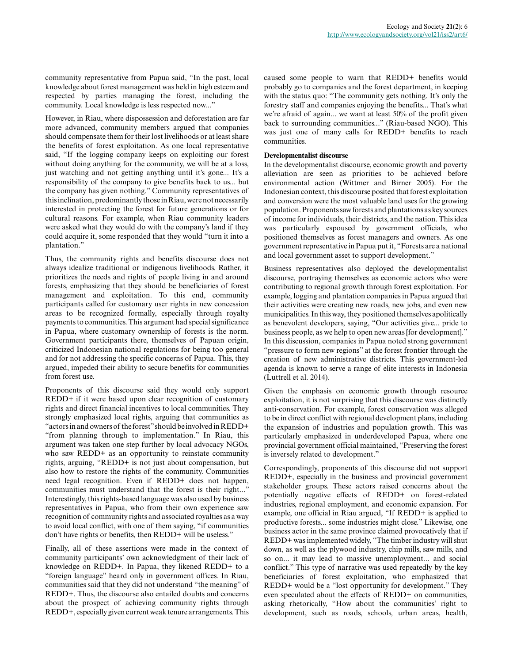community representative from Papua said, "In the past, local knowledge about forest management was held in high esteem and respected by parties managing the forest, including the community. Local knowledge is less respected now..."

However, in Riau, where dispossession and deforestation are far more advanced, community members argued that companies should compensate them for their lost livelihoods or at least share the benefits of forest exploitation. As one local representative said, "If the logging company keeps on exploiting our forest without doing anything for the community, we will be at a loss, just watching and not getting anything until it's gone... It's a responsibility of the company to give benefits back to us... but the company has given nothing." Community representatives of this inclination, predominantly those in Riau, were not necessarily interested in protecting the forest for future generations or for cultural reasons. For example, when Riau community leaders were asked what they would do with the company's land if they could acquire it, some responded that they would "turn it into a plantation."

Thus, the community rights and benefits discourse does not always idealize traditional or indigenous livelihoods. Rather, it prioritizes the needs and rights of people living in and around forests, emphasizing that they should be beneficiaries of forest management and exploitation. To this end, community participants called for customary user rights in new concession areas to be recognized formally, especially through royalty payments to communities. This argument had special significance in Papua, where customary ownership of forests is the norm. Government participants there, themselves of Papuan origin, criticized Indonesian national regulations for being too general and for not addressing the specific concerns of Papua. This, they argued, impeded their ability to secure benefits for communities from forest use.

Proponents of this discourse said they would only support REDD+ if it were based upon clear recognition of customary rights and direct financial incentives to local communities. They strongly emphasized local rights, arguing that communities as "actors in and owners of the forest" should be involved in REDD+ "from planning through to implementation." In Riau, this argument was taken one step further by local advocacy NGOs, who saw REDD+ as an opportunity to reinstate community rights, arguing, "REDD+ is not just about compensation, but also how to restore the rights of the community. Communities need legal recognition. Even if REDD+ does not happen, communities must understand that the forest is their right..." Interestingly, this rights-based language was also used by business representatives in Papua, who from their own experience saw recognition of community rights and associated royalties as a way to avoid local conflict, with one of them saying, "if communities don't have rights or benefits, then REDD+ will be useless."

Finally, all of these assertions were made in the context of community participants' own acknowledgment of their lack of knowledge on REDD+. In Papua, they likened REDD+ to a "foreign language" heard only in government offices. In Riau, communities said that they did not understand "the meaning" of REDD+. Thus, the discourse also entailed doubts and concerns about the prospect of achieving community rights through REDD+, especially given current weak tenure arrangements. This

caused some people to warn that REDD+ benefits would probably go to companies and the forest department, in keeping with the status quo: "The community gets nothing. It's only the forestry staff and companies enjoying the benefits... That's what we're afraid of again... we want at least 50% of the profit given back to surrounding communities..." (Riau-based NGO). This was just one of many calls for REDD+ benefits to reach communities.

#### **Developmentalist discourse**

In the developmentalist discourse, economic growth and poverty alleviation are seen as priorities to be achieved before environmental action (Wittmer and Birner 2005). For the Indonesian context, this discourse posited that forest exploitation and conversion were the most valuable land uses for the growing population. Proponents saw forests and plantations as key sources of income for individuals, their districts, and the nation. This idea was particularly espoused by government officials, who positioned themselves as forest managers and owners. As one government representative in Papua put it, "Forests are a national and local government asset to support development."

Business representatives also deployed the developmentalist discourse, portraying themselves as economic actors who were contributing to regional growth through forest exploitation. For example, logging and plantation companies in Papua argued that their activities were creating new roads, new jobs, and even new municipalities. In this way, they positioned themselves apolitically as benevolent developers, saying, "Our activities give... pride to business people, as we help to open new areas [for development]." In this discussion, companies in Papua noted strong government "pressure to form new regions" at the forest frontier through the creation of new administrative districts. This government-led agenda is known to serve a range of elite interests in Indonesia (Luttrell et al. 2014).

Given the emphasis on economic growth through resource exploitation, it is not surprising that this discourse was distinctly anti-conservation. For example, forest conservation was alleged to be in direct conflict with regional development plans, including the expansion of industries and population growth. This was particularly emphasized in underdeveloped Papua, where one provincial government official maintained, "Preserving the forest is inversely related to development."

Correspondingly, proponents of this discourse did not support REDD+, especially in the business and provincial government stakeholder groups. These actors raised concerns about the potentially negative effects of REDD+ on forest-related industries, regional employment, and economic expansion. For example, one official in Riau argued, "If REDD+ is applied to productive forests... some industries might close." Likewise, one business actor in the same province claimed provocatively that if REDD+ was implemented widely, "The timber industry will shut down, as well as the plywood industry, chip mills, saw mills, and so on... it may lead to massive unemployment... and social conflict." This type of narrative was used repeatedly by the key beneficiaries of forest exploitation, who emphasized that REDD+ would be a "lost opportunity for development." They even speculated about the effects of REDD+ on communities, asking rhetorically, "How about the communities' right to development, such as roads, schools, urban areas, health,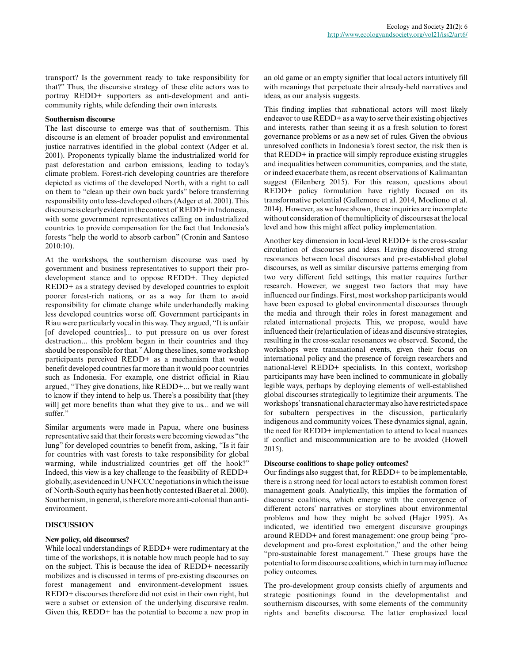transport? Is the government ready to take responsibility for that?" Thus, the discursive strategy of these elite actors was to portray REDD+ supporters as anti-development and anticommunity rights, while defending their own interests.

#### **Southernism discourse**

The last discourse to emerge was that of southernism. This discourse is an element of broader populist and environmental justice narratives identified in the global context (Adger et al. 2001). Proponents typically blame the industrialized world for past deforestation and carbon emissions, leading to today's climate problem. Forest-rich developing countries are therefore depicted as victims of the developed North, with a right to call on them to "clean up their own back yards" before transferring responsibility onto less-developed others (Adger et al. 2001). This discourse is clearly evident in the context of REDD+ in Indonesia, with some government representatives calling on industrialized countries to provide compensation for the fact that Indonesia's forests "help the world to absorb carbon" (Cronin and Santoso 2010:10).

At the workshops, the southernism discourse was used by government and business representatives to support their prodevelopment stance and to oppose REDD+. They depicted REDD+ as a strategy devised by developed countries to exploit poorer forest-rich nations, or as a way for them to avoid responsibility for climate change while underhandedly making less developed countries worse off. Government participants in Riau were particularly vocal in this way. They argued, "It is unfair [of developed countries]... to put pressure on us over forest destruction... this problem began in their countries and they should be responsible for that." Along these lines, some workshop participants perceived REDD+ as a mechanism that would benefit developed countries far more than it would poor countries such as Indonesia. For example, one district official in Riau argued, "They give donations, like REDD+... but we really want to know if they intend to help us. There's a possibility that [they will] get more benefits than what they give to us... and we will suffer."

Similar arguments were made in Papua, where one business representative said that their forests were becoming viewed as "the lung" for developed countries to benefit from, asking, "Is it fair for countries with vast forests to take responsibility for global warming, while industrialized countries get off the hook?" Indeed, this view is a key challenge to the feasibility of REDD+ globally, as evidenced in UNFCCC negotiations in which the issue of North-South equity has been hotly contested (Baer et al. 2000). Southernism, in general, is therefore more anti-colonial than antienvironment.

#### **DISCUSSION**

#### **New policy, old discourses?**

While local understandings of REDD+ were rudimentary at the time of the workshops, it is notable how much people had to say on the subject. This is because the idea of REDD+ necessarily mobilizes and is discussed in terms of pre-existing discourses on forest management and environment-development issues. REDD+ discourses therefore did not exist in their own right, but were a subset or extension of the underlying discursive realm. Given this, REDD+ has the potential to become a new prop in an old game or an empty signifier that local actors intuitively fill with meanings that perpetuate their already-held narratives and ideas, as our analysis suggests.

This finding implies that subnational actors will most likely endeavor to use REDD+ as a way to serve their existing objectives and interests, rather than seeing it as a fresh solution to forest governance problems or as a new set of rules. Given the obvious unresolved conflicts in Indonesia's forest sector, the risk then is that REDD+ in practice will simply reproduce existing struggles and inequalities between communities, companies, and the state, or indeed exacerbate them, as recent observations of Kalimantan suggest (Eilenberg 2015). For this reason, questions about REDD+ policy formulation have rightly focused on its transformative potential (Gallemore et al. 2014, Moeliono et al. 2014). However, as we have shown, these inquiries are incomplete without consideration of the multiplicity of discourses at the local level and how this might affect policy implementation.

Another key dimension in local-level REDD+ is the cross-scalar circulation of discourses and ideas. Having discovered strong resonances between local discourses and pre-established global discourses, as well as similar discursive patterns emerging from two very different field settings, this matter requires further research. However, we suggest two factors that may have influenced our findings. First, most workshop participants would have been exposed to global environmental discourses through the media and through their roles in forest management and related international projects. This, we propose, would have influenced their (re)articulation of ideas and discursive strategies, resulting in the cross-scalar resonances we observed. Second, the workshops were transnational events, given their focus on international policy and the presence of foreign researchers and national-level REDD+ specialists. In this context, workshop participants may have been inclined to communicate in globally legible ways, perhaps by deploying elements of well-established global discourses strategically to legitimize their arguments. The workshops' transnational character may also have restricted space for subaltern perspectives in the discussion, particularly indigenous and community voices. These dynamics signal, again, the need for REDD+ implementation to attend to local nuances if conflict and miscommunication are to be avoided (Howell 2015).

#### **Discourse coalitions to shape policy outcomes?**

Our findings also suggest that, for REDD+ to be implementable, there is a strong need for local actors to establish common forest management goals. Analytically, this implies the formation of discourse coalitions, which emerge with the convergence of different actors' narratives or storylines about environmental problems and how they might be solved (Hajer 1995). As indicated, we identified two emergent discursive groupings around REDD+ and forest management: one group being "prodevelopment and pro-forest exploitation," and the other being "pro-sustainable forest management." These groups have the potential to form discourse coalitions, which in turn may influence policy outcomes.

The pro-development group consists chiefly of arguments and strategic positionings found in the developmentalist and southernism discourses, with some elements of the community rights and benefits discourse. The latter emphasized local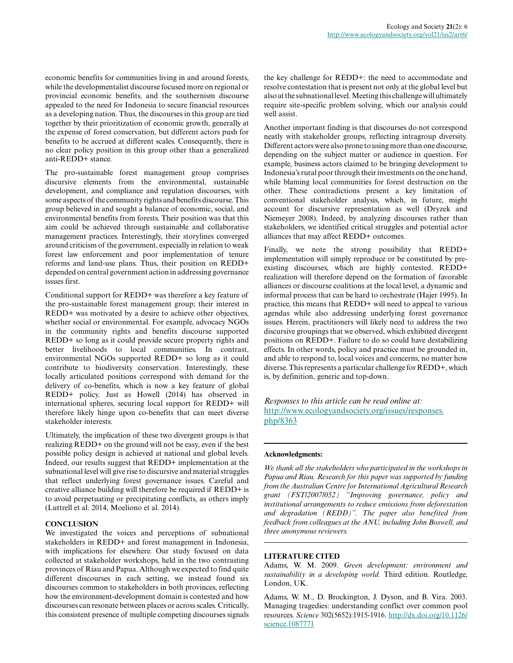economic benefits for communities living in and around forests, while the developmentalist discourse focused more on regional or provincial economic benefits, and the southernism discourse appealed to the need for Indonesia to secure financial resources as a developing nation. Thus, the discourses in this group are tied together by their prioritization of economic growth, generally at the expense of forest conservation, but different actors push for benefits to be accrued at different scales. Consequently, there is no clear policy position in this group other than a generalized anti-REDD+ stance.

The pro-sustainable forest management group comprises discursive elements from the environmental, sustainable development, and compliance and regulation discourses, with some aspects of the community rights and benefits discourse. This group believed in and sought a balance of economic, social, and environmental benefits from forests. Their position was that this aim could be achieved through sustainable and collaborative management practices. Interestingly, their storylines converged around criticism of the government, especially in relation to weak forest law enforcement and poor implementation of tenure reforms and land-use plans. Thus, their position on REDD+ depended on central government action in addressing governance issues first.

Conditional support for REDD+ was therefore a key feature of the pro-sustainable forest management group; their interest in REDD+ was motivated by a desire to achieve other objectives, whether social or environmental. For example, advocacy NGOs in the community rights and benefits discourse supported REDD+ so long as it could provide secure property rights and better livelihoods to local communities. In contrast, environmental NGOs supported REDD+ so long as it could contribute to biodiversity conservation. Interestingly, these locally articulated positions correspond with demand for the delivery of co-benefits, which is now a key feature of global REDD+ policy. Just as Howell (2014) has observed in international spheres, securing local support for REDD+ will therefore likely hinge upon co-benefits that can meet diverse stakeholder interests.

Ultimately, the implication of these two divergent groups is that realizing REDD+ on the ground will not be easy, even if the best possible policy design is achieved at national and global levels. Indeed, our results suggest that REDD+ implementation at the subnational level will give rise to discursive and material struggles that reflect underlying forest governance issues. Careful and creative alliance building will therefore be required if REDD+ is to avoid perpetuating or precipitating conflicts, as others imply (Luttrell et al. 2014, Moeliono et al. 2014).

# **CONCLUSION**

We investigated the voices and perceptions of subnational stakeholders in REDD+ and forest management in Indonesia, with implications for elsewhere. Our study focused on data collected at stakeholder workshops, held in the two contrasting provinces of Riau and Papua. Although we expected to find quite different discourses in each setting, we instead found six discourses common to stakeholders in both provinces, reflecting how the environment-development domain is contested and how discourses can resonate between places or across scales. Critically, this consistent presence of multiple competing discourses signals the key challenge for REDD+: the need to accommodate and resolve contestation that is present not only at the global level but also at the subnational level. Meeting this challenge will ultimately require site-specific problem solving, which our analysis could well assist.

Another important finding is that discourses do not correspond neatly with stakeholder groups, reflecting intragroup diversity. Different actors were also prone to using more than one discourse, depending on the subject matter or audience in question. For example, business actors claimed to be bringing development to Indonesia's rural poor through their investments on the one hand, while blaming local communities for forest destruction on the other. These contradictions present a key limitation of conventional stakeholder analysis, which, in future, might account for discursive representation as well (Dryzek and Niemeyer 2008). Indeed, by analyzing discourses rather than stakeholders, we identified critical struggles and potential actor alliances that may affect REDD+ outcomes.

Finally, we note the strong possibility that REDD+ implementation will simply reproduce or be constituted by preexisting discourses, which are highly contested. REDD+ realization will therefore depend on the formation of favorable alliances or discourse coalitions at the local level, a dynamic and informal process that can be hard to orchestrate (Hajer 1995). In practice, this means that REDD+ will need to appeal to various agendas while also addressing underlying forest governance issues. Herein, practitioners will likely need to address the two discursive groupings that we observed, which exhibited divergent positions on REDD+. Failure to do so could have destabilizing effects. In other words, policy and practice must be grounded in, and able to respond to, local voices and concerns, no matter how diverse. This represents a particular challenge for REDD+, which is, by definition, generic and top-down.

*Responses to this article can be read online at:* [http://www.ecologyandsociety.org/issues/responses.](http://www.ecologyandsociety.org/issues/responses.php/8363) [php/8363](http://www.ecologyandsociety.org/issues/responses.php/8363)

#### **Acknowledgments:**

*We thank all the stakeholders who participated in the workshops in Papua and Riau. Research for this paper was supported by funding from the Australian Centre for International Agricultural Research grant (FST/2007/052) "Improving governance, policy and institutional arrangements to reduce emissions from deforestation and degradation (REDD)". The paper also benefited from feedback from colleagues at the ANU, including John Boswell, and three anonymous reviewers.*

#### **LITERATURE CITED**

Adams, W. M. 2009. *Green development: environment and sustainability in a developing world.* Third edition. Routledge, London, UK.

Adams, W. M., D. Brockington, J. Dyson, and B. Vira. 2003. Managing tragedies: understanding conflict over common pool resources. *Science* 302(5652):1915-1916. [http://dx.doi.org/10.1126/](http://dx.doi.org/10.1126/science.1087771) [science.1087771](http://dx.doi.org/10.1126/science.1087771)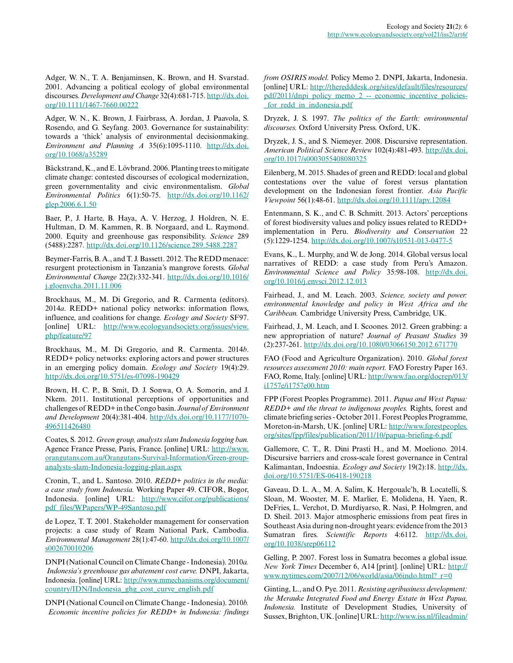Adger, W. N., T. A. Benjaminsen, K. Brown, and H. Svarstad. 2001. Advancing a political ecology of global environmental discourses. *Development and Change* 32(4):681-715. [http://dx.doi.](http://dx.doi.org/10.1111/1467-7660.00222) [org/10.1111/1467-7660.00222](http://dx.doi.org/10.1111/1467-7660.00222)

Adger, W. N., K. Brown, J. Fairbrass, A. Jordan, J. Paavola, S. Rosendo, and G. Seyfang. 2003. Governance for sustainability: towards a 'thick' analysis of environmental decisionmaking. *Environment and Planning A* 35(6):1095-1110. [http://dx.doi.](http://dx.doi.org/10.1068/a35289) [org/10.1068/a35289](http://dx.doi.org/10.1068/a35289)

Bäckstrand, K., and E. Lövbrand. 2006. Planting trees to mitigate climate change: contested discourses of ecological modernization, green governmentality and civic environmentalism. *Global Environmental Politics* 6(1):50-75. [http://dx.doi.org/10.1162/](http://dx.doi.org/10.1162/glep.2006.6.1.50) [glep.2006.6.1.50](http://dx.doi.org/10.1162/glep.2006.6.1.50)

Baer, P., J. Harte, B. Haya, A. V. Herzog, J. Holdren, N. E. Hultman, D. M. Kammen, R. B. Norgaard, and L. Raymond. 2000. Equity and greenhouse gas responsibility. *Science* 289 (5488):2287.<http://dx.doi.org/10.1126/science.289.5488.2287>

Beymer-Farris, B. A., and T. J. Bassett. 2012. The REDD menace: resurgent protectionism in Tanzania's mangrove forests. *Global Environmental Change* 22(2):332-341. [http://dx.doi.org/10.1016/](http://dx.doi.org/10.1016/j.gloenvcha.2011.11.006) [j.gloenvcha.2011.11.006](http://dx.doi.org/10.1016/j.gloenvcha.2011.11.006) 

Brockhaus, M., M. Di Gregorio, and R. Carmenta (editors). 2014*a*. REDD+ national policy networks: information flows, influence, and coalitions for change. *Ecology and Society* SF97. [online] URL: [http://www.ecologyandsociety.org/issues/view.](http://www.ecologyandsociety.org/issues/view.php/feature/97) [php/feature/97](http://www.ecologyandsociety.org/issues/view.php/feature/97)

Brockhaus, M., M. Di Gregorio, and R. Carmenta. 2014*b*. REDD+ policy networks: exploring actors and power structures in an emerging policy domain. *Ecology and Society* 19(4):29. <http://dx.doi.org/10.5751/es-07098-190429>

Brown, H. C. P., B. Smit, D. J. Sonwa, O. A. Somorin, and J. Nkem. 2011. Institutional perceptions of opportunities and challenges of REDD+ in the Congo basin. *Journal of Environment and Development* 20(4):381-404. [http://dx.doi.org/10.1177/1070](http://dx.doi.org/10.1177/1070496511426480) [496511426480](http://dx.doi.org/10.1177/1070496511426480)

Coates, S. 2012. *Green group, analysts slam Indonesia logging ban.* Agence France Presse, Paris, France. [online] URL: [http://www.](http://www.orangutans.com.au/Orangutans-Survival-Information/Green-group-analysts-slam-Indonesia-logging-plan.aspx) [orangutans.com.au/Orangutans-Survival-Information/Green-group](http://www.orangutans.com.au/Orangutans-Survival-Information/Green-group-analysts-slam-Indonesia-logging-plan.aspx)[analysts-slam-Indonesia-logging-plan.aspx](http://www.orangutans.com.au/Orangutans-Survival-Information/Green-group-analysts-slam-Indonesia-logging-plan.aspx) 

Cronin, T., and L. Santoso. 2010. *REDD+ politics in the media: a case study from Indonesia.* Working Paper 49. CIFOR, Bogor, Indonesia. [online] URL: [http://www.cifor.org/publications/](http://www.cifor.org/publications/pdf_files/WPapers/WP-49Santoso.pdf) [pdf\\_files/WPapers/WP-49Santoso.pdf](http://www.cifor.org/publications/pdf_files/WPapers/WP-49Santoso.pdf)

de Lopez, T. T. 2001. Stakeholder management for conservation projects: a case study of Ream National Park, Cambodia. *Environmental Management* 28(1):47-60. [http://dx.doi.org/10.1007/](http://dx.doi.org/10.1007/s002670010206) [s002670010206](http://dx.doi.org/10.1007/s002670010206)

DNPI (National Council on Climate Change - Indonesia). 2010*a. Indonesia's greenhouse gas abatement cost curve.* DNPI, Jakarta, Indonesia. [online] URL: [http://www.mmechanisms.org/document/](http://www.mmechanisms.org/document/country/IDN/Indonesia_ghg_cost_curve_english.pdf) [country/IDN/Indonesia\\_ghg\\_cost\\_curve\\_english.pdf](http://www.mmechanisms.org/document/country/IDN/Indonesia_ghg_cost_curve_english.pdf)

DNPI (National Council on Climate Change - Indonesia). 2010*b. Economic incentive policies for REDD+ in Indonesia: findings* *from OSIRIS model.* Policy Memo 2. DNPI, Jakarta, Indonesia. [online] URL: [http://theredddesk.org/sites/default/files/resources/](http://theredddesk.org/sites/default/files/resources/pdf/2011/dnpi_policy_memo_2_--_economic_incentive_policies_for_redd_in_indonesia.pdf) [pdf/2011/dnpi\\_policy\\_memo\\_2\\_--\\_economic\\_incentive\\_policies](http://theredddesk.org/sites/default/files/resources/pdf/2011/dnpi_policy_memo_2_--_economic_incentive_policies_for_redd_in_indonesia.pdf)-[\\_for\\_redd\\_in\\_indonesia.pdf](http://theredddesk.org/sites/default/files/resources/pdf/2011/dnpi_policy_memo_2_--_economic_incentive_policies_for_redd_in_indonesia.pdf)

Dryzek, J. S. 1997. *The politics of the Earth: environmental discourses.* Oxford University Press. Oxford, UK.

Dryzek, J. S., and S. Niemeyer. 2008. Discursive representation. *American Political Science Review* 102(4):481-493. [http://dx.doi.](http://dx.doi.org/10.1017/s0003055408080325) [org/10.1017/s0003055408080325](http://dx.doi.org/10.1017/s0003055408080325) 

Eilenberg, M. 2015. Shades of green and REDD: local and global contestations over the value of forest versus plantation development on the Indonesian forest frontier. *Asia Pacific Viewpoint* 56(1):48-61.<http://dx.doi.org/10.1111/apv.12084>

Entenmann, S. K., and C. B. Schmitt. 2013. Actors' perceptions of forest biodiversity values and policy issues related to REDD+ implementation in Peru. *Biodiversity and Conservation* 22 (5):1229-1254. <http://dx.doi.org/10.1007/s10531-013-0477-5>

Evans, K., L. Murphy, and W. de Jong. 2014. Global versus local narratives of REDD: a case study from Peru's Amazon. *Environmental Science and Policy* 35:98-108. [http://dx.doi.](http://dx.doi.org/10.1016/j.envsci.2012.12.013) [org/10.1016/j.envsci.2012.12.013](http://dx.doi.org/10.1016/j.envsci.2012.12.013) 

Fairhead, J., and M. Leach. 2003. *Science, society and power: environmental knowledge and policy in West Africa and the Caribbean.* Cambridge University Press, Cambridge, UK.

Fairhead, J., M. Leach, and I. Scoones. 2012. Green grabbing: a new appropriation of nature? *Journal of Peasant Studies* 39 (2):237-261. <http://dx.doi.org/10.1080/03066150.2012.671770>

FAO (Food and Agriculture Organization). 2010. *Global forest resources assessment 2010: main report.* FAO Forestry Paper 163. FAO, Rome, Italy. [online] URL: [http://www.fao.org/docrep/013/](http://www.fao.org/docrep/013/i1757e/i1757e00.htm) [i1757e/i1757e00.htm](http://www.fao.org/docrep/013/i1757e/i1757e00.htm)

FPP (Forest Peoples Programme). 2011. *Papua and West Papua: REDD+ and the threat to indigenous peoples.* Rights, forest and climate briefing series - October 2011. Forest Peoples Programme, Moreton-in-Marsh, UK. [online] URL: [http://www.forestpeoples.](http://www.forestpeoples.org/sites/fpp/files/publication/2011/10/papua-briefing-6.pdf) [org/sites/fpp/files/publication/2011/10/papua-briefing-6.pdf](http://www.forestpeoples.org/sites/fpp/files/publication/2011/10/papua-briefing-6.pdf)

Gallemore, C. T., R. Dini Prasti H., and M. Moeliono. 2014. Discursive barriers and cross-scale forest governance in Central Kalimantan, Indoesnia. *Ecology and Society* 19(2):18. [http://dx.](http://dx.doi.org/10.5751/ES-06418-190218) [doi.org/10.5751/ES-06418-190218](http://dx.doi.org/10.5751/ES-06418-190218)

Gaveau, D. L. A., M. A. Salim, K. Hergoualc'h, B. Locatelli, S. Sloan, M. Wooster, M. E. Marlier, E. Molidena, H. Yaen, R. DeFries, L. Verchot, D. Murdiyarso, R. Nasi, P. Holmgren, and D. Sheil. 2013. Major atmospheric emissions from peat fires in Southeast Asia during non-drought years: evidence from the 2013 Sumatran fires. *Scientific Reports* 4:6112. [http://dx.doi.](http://dx.doi.org/10.1038/srep06112) [org/10.1038/srep06112](http://dx.doi.org/10.1038/srep06112)

Gelling, P. 2007. Forest loss in Sumatra becomes a global issue. *New York Times* December 6, A14 [print]. [online] URL: [http://](http://www.nytimes.com/2007/12/06/world/asia/06indo.html?_r=0) www.nytimes.com/2007/12/06/world/asia/06indo.html?\_r=0

Ginting, L., and O. Pye. 2011. *Resisting agribusiness development: the Merauke Integrated Food and Energy Estate in West Papua, Indonesia.* Institute of Development Studies, University of Sussex, Brighton, UK. [online] URL: [http://www.iss.nl/fileadmin/](http://www.iss.nl/fileadmin/ASSETS/iss/Documents/Conference_papers/LDPI/1_Longgena_Ginting_and_Oliver_Pye_Final.pdf)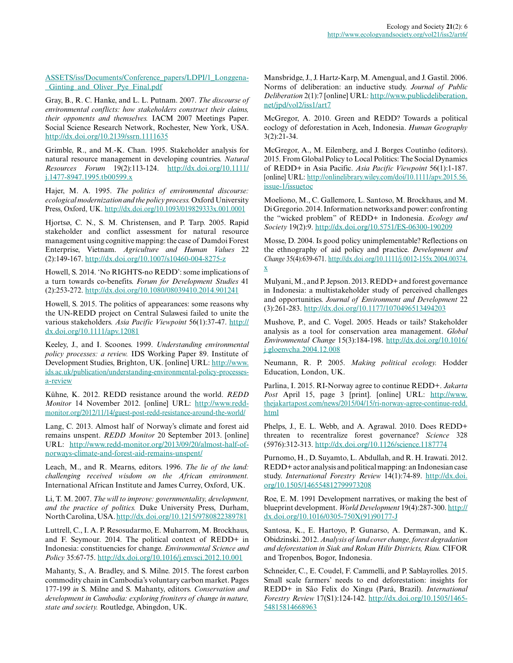[ASSETS/iss/Documents/Conference\\_papers/LDPI/1\\_Longgena](http://www.iss.nl/fileadmin/ASSETS/iss/Documents/Conference_papers/LDPI/1_Longgena_Ginting_and_Oliver_Pye_Final.pdf) [\\_Ginting\\_and\\_Oliver\\_Pye\\_Final.pdf](http://www.iss.nl/fileadmin/ASSETS/iss/Documents/Conference_papers/LDPI/1_Longgena_Ginting_and_Oliver_Pye_Final.pdf)

Gray, B., R. C. Hanke, and L. L. Putnam. 2007. *The discourse of environmental conflicts: how stakeholders construct their claims, their opponents and themselves.* IACM 2007 Meetings Paper. Social Science Research Network, Rochester, New York, USA. <http://dx.doi.org/10.2139/ssrn.1111635>

Grimble, R., and M.-K. Chan. 1995. Stakeholder analysis for natural resource management in developing countries. *Natural Resources Forum* 19(2):113-124. [http://dx.doi.org/10.1111/](http://dx.doi.org/10.1111/j.1477-8947.1995.tb00599.x) [j.1477-8947.1995.tb00599.x](http://dx.doi.org/10.1111/j.1477-8947.1995.tb00599.x)

Hajer, M. A. 1995. *The politics of environmental discourse: ecological modernization and the policy process.* Oxford University Press, Oxford, UK. <http://dx.doi.org/10.1093/019829333x.001.0001>

Hjortsø, C. N., S. M. Christensen, and P. Tarp. 2005. Rapid stakeholder and conflict assessment for natural resource management using cognitive mapping: the case of Damdoi Forest Enterprise, Vietnam. *Agriculture and Human Values* 22 (2):149-167. <http://dx.doi.org/10.1007/s10460-004-8275-z>

Howell, S. 2014. 'No RIGHTS-no REDD': some implications of a turn towards co-benefits. *Forum for Development Studies* 41 (2):253-272. <http://dx.doi.org/10.1080/08039410.2014.901241>

Howell, S. 2015. The politics of appearances: some reasons why the UN-REDD project on Central Sulawesi failed to unite the various stakeholders. *Asia Pacific Viewpoint* 56(1):37-47. [http://](http://dx.doi.org/10.1111/apv.12081) [dx.doi.org/10.1111/apv.12081](http://dx.doi.org/10.1111/apv.12081) 

Keeley, J., and I. Scoones. 1999. *Understanding environmental policy processes: a review.* IDS Working Paper 89. Institute of Development Studies, Brighton, UK. [online] URL: [http://www.](http://www.ids.ac.uk/publication/understanding-environmental-policy-processes-a-review) [ids.ac.uk/publication/understanding-environmental-policy-processes](http://www.ids.ac.uk/publication/understanding-environmental-policy-processes-a-review)[a-review](http://www.ids.ac.uk/publication/understanding-environmental-policy-processes-a-review) 

Kühne, K. 2012. REDD resistance around the world. *REDD Monitor* 14 November 2012. [online] URL: [http://www.redd](http://www.redd-monitor.org/2012/11/14/guest-post-redd-resistance-around-the-world/)[monitor.org/2012/11/14/guest-post-redd-resistance-around-the-world/](http://www.redd-monitor.org/2012/11/14/guest-post-redd-resistance-around-the-world/) 

Lang, C. 2013. Almost half of Norway's climate and forest aid remains unspent. *REDD Monitor* 20 September 2013. [online] URL: [http://www.redd-monitor.org/2013/09/20/almost-half-of](http://www.redd-monitor.org/2013/09/20/almost-half-of-norways-climate-and-forest-aid-remains-unspent/)[norways-climate-and-forest-aid-remains-unspent/](http://www.redd-monitor.org/2013/09/20/almost-half-of-norways-climate-and-forest-aid-remains-unspent/) 

Leach, M., and R. Mearns, editors. 1996. *The lie of the land: challenging received wisdom on the African environment.* International African Institute and James Currey, Oxford, UK.

Li, T. M. 2007. *The will to improve: governmentality, development, and the practice of politics.* Duke University Press, Durham, North Carolina, USA.<http://dx.doi.org/10.1215/9780822389781>

Luttrell, C., I. A. P. Resosudarmo, E. Muharrom, M. Brockhaus, and F. Seymour. 2014. The political context of REDD+ in Indonesia: constituencies for change. *Environmental Science and Policy* 35:67-75.<http://dx.doi.org/10.1016/j.envsci.2012.10.001>

Mahanty, S., A. Bradley, and S. Milne. 2015. The forest carbon commodity chain in Cambodia's voluntary carbon market. Pages 177-199 *in* S. Milne and S. Mahanty, editors. *Conservation and development in Cambodia: exploring froniters of change in nature, state and society.* Routledge, Abingdon, UK.

Mansbridge, J., J. Hartz-Karp, M. Amengual, and J. Gastil. 2006. Norms of deliberation: an inductive study. *Journal of Public Deliberation* 2(1):7 [online] URL: [http://www.publicdeliberation.](http://www.publicdeliberation.net/jpd/vol2/iss1/art7) [net/jpd/vol2/iss1/art7](http://www.publicdeliberation.net/jpd/vol2/iss1/art7) 

McGregor, A. 2010. Green and REDD? Towards a political eoclogy of deforestation in Aceh, Indonesia. *Human Geography* 3(2):21-34.

McGregor, A., M. Eilenberg, and J. Borges Coutinho (editors). 2015. From Global Policy to Local Politics: The Social Dynamics of REDD+ in Asia Pacific. *Asia Pacific Viewpoint* 56(1):1-187. [online] URL: [http://onlinelibrary.wiley.com/doi/10.1111/apv.2015.56.](http://onlinelibrary.wiley.com/doi/10.1111/apv.2015.56.issue-1/issuetoc) [issue-1/issuetoc](http://onlinelibrary.wiley.com/doi/10.1111/apv.2015.56.issue-1/issuetoc)

Moeliono, M., C. Gallemore, L. Santoso, M. Brockhaus, and M. Di Gregorio. 2014. Information networks and power: confronting the "wicked problem" of REDD+ in Indonesia. *Ecology and Society* 19(2):9.<http://dx.doi.org/10.5751/ES-06300-190209>

Mosse, D. 2004. Is good policy unimplementable? Reflections on the ethnography of aid policy and practice. *Development and Change* 35(4):639-671. [http://dx.doi.org/10.1111/j.0012-155x.2004.00374.](http://dx.doi.org/10.1111/j.0012-155x.2004.00374.x) [x](http://dx.doi.org/10.1111/j.0012-155x.2004.00374.x) 

Mulyani, M., and P. Jepson. 2013. REDD+ and forest governance in Indonesia: a multistakeholder study of perceived challenges and opportunities. *Journal of Environment and Development* 22 (3):261-283. <http://dx.doi.org/10.1177/1070496513494203>

Mushove, P., and C. Vogel. 2005. Heads or tails? Stakeholder analysis as a tool for conservation area management. *Global Environmental Change* 15(3):184-198. [http://dx.doi.org/10.1016/](http://dx.doi.org/10.1016/j.gloenvcha.2004.12.008) [j.gloenvcha.2004.12.008](http://dx.doi.org/10.1016/j.gloenvcha.2004.12.008) 

Neumann, R. P. 2005. *Making political ecology.* Hodder Education, London, UK.

Parlina, I. 2015. RI-Norway agree to continue REDD+. *Jakarta* Post April 15, page 3 [print]. [online] URL: [http://www.](http://www.thejakartapost.com/news/2015/04/15/ri-norway-agree-continue-redd.html) [thejakartapost.com/news/2015/04/15/ri-norway-agree-continue-redd.](http://www.thejakartapost.com/news/2015/04/15/ri-norway-agree-continue-redd.html) [html](http://www.thejakartapost.com/news/2015/04/15/ri-norway-agree-continue-redd.html) 

Phelps, J., E. L. Webb, and A. Agrawal. 2010. Does REDD+ threaten to recentralize forest governance? *Science* 328 (5976):312-313.<http://dx.doi.org/10.1126/science.1187774>

Purnomo, H., D. Suyamto, L. Abdullah, and R. H. Irawati. 2012. REDD+ actor analysis and political mapping: an Indonesian case study. *International Forestry Review* 14(1):74-89. [http://dx.doi.](http://dx.doi.org/10.1505/146554812799973208) [org/10.1505/146554812799973208](http://dx.doi.org/10.1505/146554812799973208)

Roe, E. M. 1991 Development narratives, or making the best of blueprint development. *World Development* 19(4):287-300. [http://](http://dx.doi.org/10.1016/0305-750X(91)90177-J) [dx.doi.org/10.1016/0305-750X\(91\)90177-J](http://dx.doi.org/10.1016/0305-750X(91)90177-J) 

Santosa, K., E. Hartoyo, P. Gunarso, A. Dermawan, and K. Obidzinski. 2012. *Analysis of land cover change, forest degradation and deforestation in Siak and Rokan Hilir Districts, Riau.* CIFOR and Tropenbos, Bogor, Indonesia.

Schneider, C., E. Coudel, F. Cammelli, and P. Sablayrolles. 2015. Small scale farmers' needs to end deforestation: insights for REDD+ in São Felix do Xingu (Pará, Brazil). *International Forestry Review* 17(S1):124-142. [http://dx.doi.org/10.1505/1465](http://dx.doi.org/10.1505/146554815814668963) [54815814668963](http://dx.doi.org/10.1505/146554815814668963)